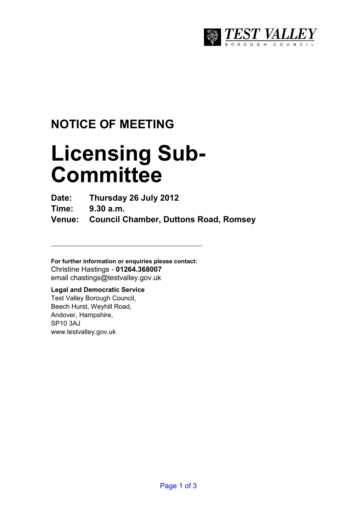

## **NOTICE OF MEETING**

# **Licensing Sub-Committee**

**Date: Thursday 26 July 2012** 

**Time: 9.30 a.m.** 

**Venue: Council Chamber, Duttons Road, Romsey** 

**For further information or enquiries please contact:**  Christine Hastings - **01264.368007** email chastings@testvalley.gov.uk

#### **Legal and Democratic Service**  Test Valley Borough Council,

Beech Hurst, Weyhill Road, Andover, Hampshire, SP10 3AJ www.testvalley.gov.uk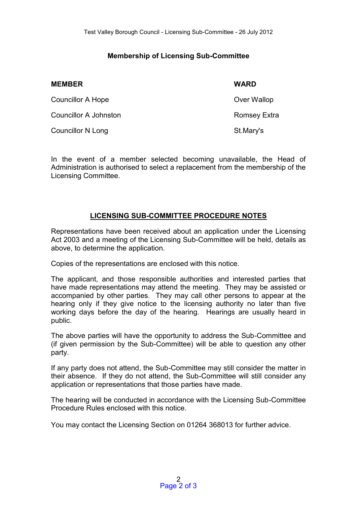#### **Membership of Licensing Sub-Committee**

| <b>MEMBER</b>            | <b>WARD</b>  |
|--------------------------|--------------|
| Councillor A Hope        | Over Wallop  |
| Councillor A Johnston    | Romsey Extra |
| <b>Councillor N Long</b> | St.Mary's    |

In the event of a member selected becoming unavailable, the Head of Administration is authorised to select a replacement from the membership of the Licensing Committee.

#### **LICENSING SUB-COMMITTEE PROCEDURE NOTES**

Representations have been received about an application under the Licensing Act 2003 and a meeting of the Licensing Sub-Committee will be held, details as above, to determine the application.

Copies of the representations are enclosed with this notice.

The applicant, and those responsible authorities and interested parties that have made representations may attend the meeting. They may be assisted or accompanied by other parties. They may call other persons to appear at the hearing only if they give notice to the licensing authority no later than five working days before the day of the hearing. Hearings are usually heard in public.

The above parties will have the opportunity to address the Sub-Committee and (if given permission by the Sub-Committee) will be able to question any other party.

If any party does not attend, the Sub-Committee may still consider the matter in their absence. If they do not attend, the Sub-Committee will still consider any application or representations that those parties have made.

The hearing will be conducted in accordance with the Licensing Sub-Committee Procedure Rules enclosed with this notice.

You may contact the Licensing Section on 01264 368013 for further advice.